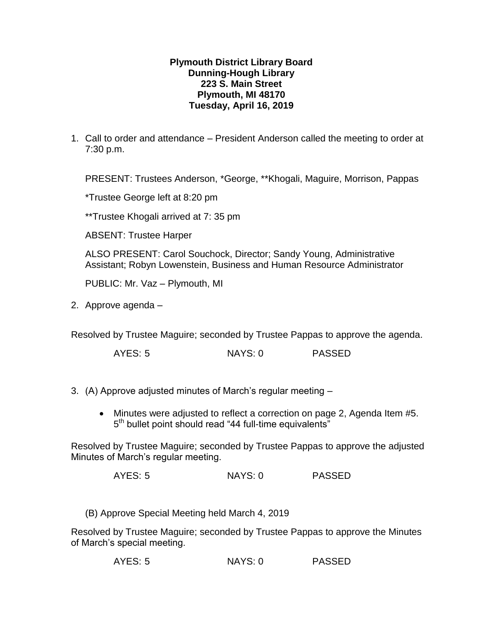## **Plymouth District Library Board Dunning-Hough Library 223 S. Main Street Plymouth, MI 48170 Tuesday, April 16, 2019**

1. Call to order and attendance – President Anderson called the meeting to order at 7:30 p.m.

PRESENT: Trustees Anderson, \*George, \*\*Khogali, Maguire, Morrison, Pappas

\*Trustee George left at 8:20 pm

\*\*Trustee Khogali arrived at 7: 35 pm

ABSENT: Trustee Harper

ALSO PRESENT: Carol Souchock, Director; Sandy Young, Administrative Assistant; Robyn Lowenstein, Business and Human Resource Administrator

PUBLIC: Mr. Vaz – Plymouth, MI

2. Approve agenda –

Resolved by Trustee Maguire; seconded by Trustee Pappas to approve the agenda.

AYES: 5 NAYS: 0 PASSED

- 3. (A) Approve adjusted minutes of March's regular meeting
	- Minutes were adjusted to reflect a correction on page 2, Agenda Item #5. 5<sup>th</sup> bullet point should read "44 full-time equivalents"

Resolved by Trustee Maguire; seconded by Trustee Pappas to approve the adjusted Minutes of March's regular meeting.

AYES: 5 NAYS: 0 PASSED

(B) Approve Special Meeting held March 4, 2019

Resolved by Trustee Maguire; seconded by Trustee Pappas to approve the Minutes of March's special meeting.

AYES: 5 NAYS: 0 PASSED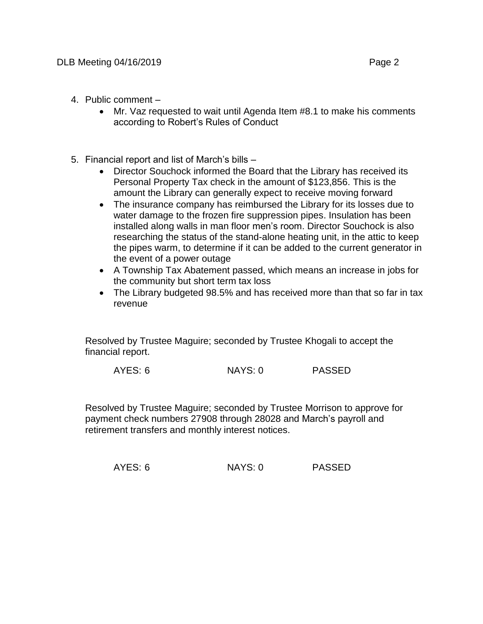- 4. Public comment
	- Mr. Vaz requested to wait until Agenda Item #8.1 to make his comments according to Robert's Rules of Conduct
- 5. Financial report and list of March's bills
	- Director Souchock informed the Board that the Library has received its Personal Property Tax check in the amount of \$123,856. This is the amount the Library can generally expect to receive moving forward
	- The insurance company has reimbursed the Library for its losses due to water damage to the frozen fire suppression pipes. Insulation has been installed along walls in man floor men's room. Director Souchock is also researching the status of the stand-alone heating unit, in the attic to keep the pipes warm, to determine if it can be added to the current generator in the event of a power outage
	- A Township Tax Abatement passed, which means an increase in jobs for the community but short term tax loss
	- The Library budgeted 98.5% and has received more than that so far in tax revenue

Resolved by Trustee Maguire; seconded by Trustee Khogali to accept the financial report.

AYES: 6 NAYS: 0 PASSED

Resolved by Trustee Maguire; seconded by Trustee Morrison to approve for payment check numbers 27908 through 28028 and March's payroll and retirement transfers and monthly interest notices.

AYES: 6 NAYS: 0 PASSED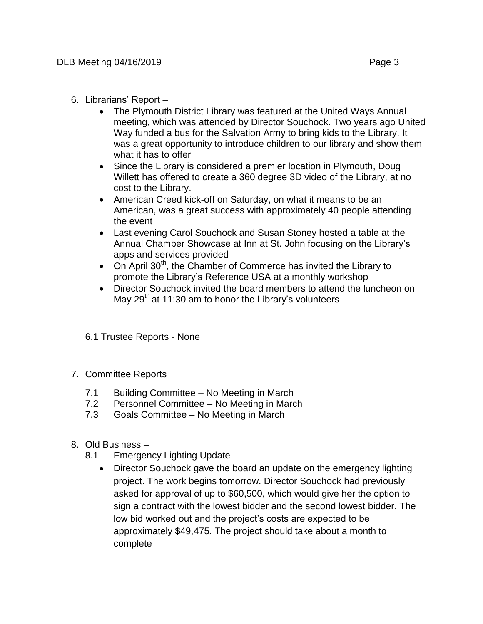- 6. Librarians' Report
	- The Plymouth District Library was featured at the United Ways Annual meeting, which was attended by Director Souchock. Two years ago United Way funded a bus for the Salvation Army to bring kids to the Library. It was a great opportunity to introduce children to our library and show them what it has to offer
	- Since the Library is considered a premier location in Plymouth, Doug Willett has offered to create a 360 degree 3D video of the Library, at no cost to the Library.
	- American Creed kick-off on Saturday, on what it means to be an American, was a great success with approximately 40 people attending the event
	- Last evening Carol Souchock and Susan Stoney hosted a table at the Annual Chamber Showcase at Inn at St. John focusing on the Library's apps and services provided
	- On April  $30<sup>th</sup>$ , the Chamber of Commerce has invited the Library to promote the Library's Reference USA at a monthly workshop
	- Director Souchock invited the board members to attend the luncheon on May 29<sup>th</sup> at 11:30 am to honor the Library's volunteers
	- 6.1 Trustee Reports None
- 7. Committee Reports
	- 7.1 Building Committee No Meeting in March
	- 7.2 Personnel Committee No Meeting in March
	- 7.3 Goals Committee No Meeting in March
- 8. Old Business
	- 8.1 Emergency Lighting Update
		- Director Souchock gave the board an update on the emergency lighting project. The work begins tomorrow. Director Souchock had previously asked for approval of up to \$60,500, which would give her the option to sign a contract with the lowest bidder and the second lowest bidder. The low bid worked out and the project's costs are expected to be approximately \$49,475. The project should take about a month to complete